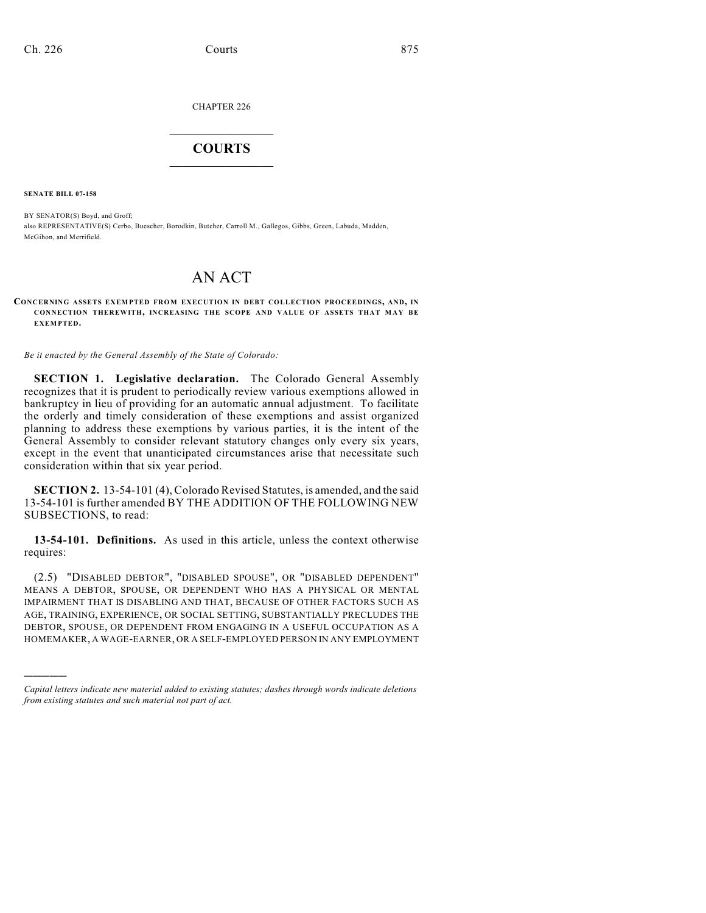CHAPTER 226

## $\overline{\phantom{a}}$  . The set of the set of the set of the set of the set of the set of the set of the set of the set of the set of the set of the set of the set of the set of the set of the set of the set of the set of the set o **COURTS**  $\_$

**SENATE BILL 07-158**

)))))

BY SENATOR(S) Boyd, and Groff; also REPRESENTATIVE(S) Cerbo, Buescher, Borodkin, Butcher, Carroll M., Gallegos, Gibbs, Green, Labuda, Madden, McGihon, and Merrifield.

## AN ACT

**CONCERNING ASSETS EXEMPTED FROM EXECUTION IN DEBT COLLECTION PROCEEDINGS, AND, IN CONNECTION THEREWITH, INCREASING THE SCOPE AND VALUE OF ASSETS THAT MAY BE EXEMPTED.**

*Be it enacted by the General Assembly of the State of Colorado:*

**SECTION 1. Legislative declaration.** The Colorado General Assembly recognizes that it is prudent to periodically review various exemptions allowed in bankruptcy in lieu of providing for an automatic annual adjustment. To facilitate the orderly and timely consideration of these exemptions and assist organized planning to address these exemptions by various parties, it is the intent of the General Assembly to consider relevant statutory changes only every six years, except in the event that unanticipated circumstances arise that necessitate such consideration within that six year period.

**SECTION 2.** 13-54-101 (4), Colorado Revised Statutes, is amended, and the said 13-54-101 is further amended BY THE ADDITION OF THE FOLLOWING NEW SUBSECTIONS, to read:

**13-54-101. Definitions.** As used in this article, unless the context otherwise requires:

(2.5) "DISABLED DEBTOR", "DISABLED SPOUSE", OR "DISABLED DEPENDENT" MEANS A DEBTOR, SPOUSE, OR DEPENDENT WHO HAS A PHYSICAL OR MENTAL IMPAIRMENT THAT IS DISABLING AND THAT, BECAUSE OF OTHER FACTORS SUCH AS AGE, TRAINING, EXPERIENCE, OR SOCIAL SETTING, SUBSTANTIALLY PRECLUDES THE DEBTOR, SPOUSE, OR DEPENDENT FROM ENGAGING IN A USEFUL OCCUPATION AS A HOMEMAKER, A WAGE-EARNER, OR A SELF-EMPLOYED PERSON IN ANY EMPLOYMENT

*Capital letters indicate new material added to existing statutes; dashes through words indicate deletions from existing statutes and such material not part of act.*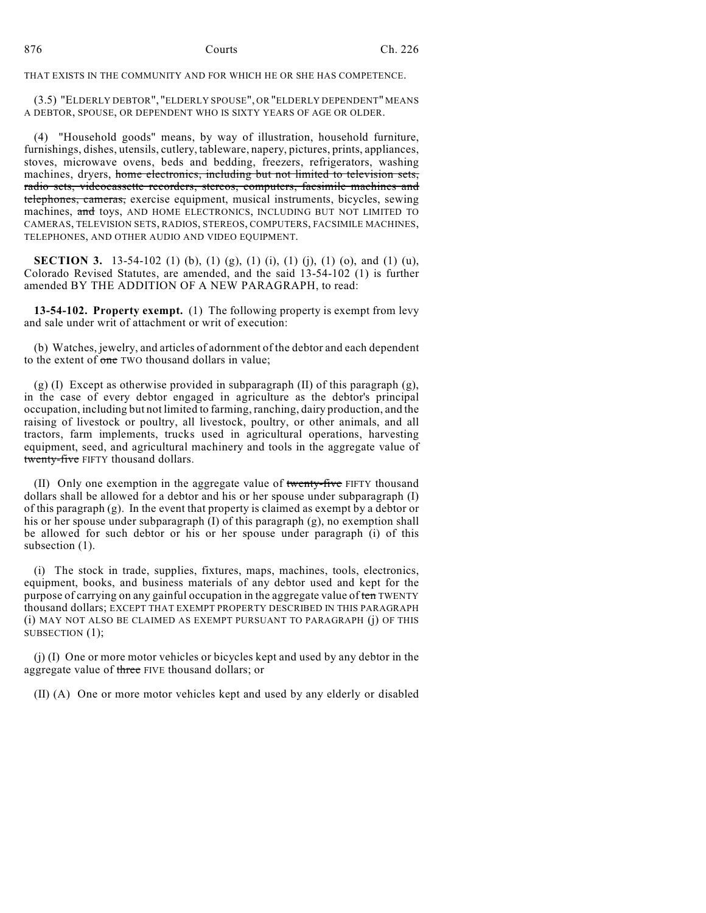THAT EXISTS IN THE COMMUNITY AND FOR WHICH HE OR SHE HAS COMPETENCE.

(3.5) "ELDERLY DEBTOR", "ELDERLY SPOUSE", OR "ELDERLY DEPENDENT" MEANS A DEBTOR, SPOUSE, OR DEPENDENT WHO IS SIXTY YEARS OF AGE OR OLDER.

(4) "Household goods" means, by way of illustration, household furniture, furnishings, dishes, utensils, cutlery, tableware, napery, pictures, prints, appliances, stoves, microwave ovens, beds and bedding, freezers, refrigerators, washing machines, dryers, home electronics, including but not limited to television sets, radio sets, videocassette recorders, stereos, computers, facsimile machines and telephones, cameras, exercise equipment, musical instruments, bicycles, sewing machines, and toys, AND HOME ELECTRONICS, INCLUDING BUT NOT LIMITED TO CAMERAS, TELEVISION SETS, RADIOS, STEREOS, COMPUTERS, FACSIMILE MACHINES, TELEPHONES, AND OTHER AUDIO AND VIDEO EQUIPMENT.

**SECTION 3.** 13-54-102 (1) (b), (1) (g), (1) (i), (1) (j), (1) (o), and (1) (u), Colorado Revised Statutes, are amended, and the said 13-54-102 (1) is further amended BY THE ADDITION OF A NEW PARAGRAPH, to read:

**13-54-102. Property exempt.** (1) The following property is exempt from levy and sale under writ of attachment or writ of execution:

(b) Watches, jewelry, and articles of adornment of the debtor and each dependent to the extent of one TWO thousand dollars in value;

(g) (I) Except as otherwise provided in subparagraph (II) of this paragraph (g), in the case of every debtor engaged in agriculture as the debtor's principal occupation, including but not limited to farming, ranching, dairy production, and the raising of livestock or poultry, all livestock, poultry, or other animals, and all tractors, farm implements, trucks used in agricultural operations, harvesting equipment, seed, and agricultural machinery and tools in the aggregate value of twenty-five FIFTY thousand dollars.

(II) Only one exemption in the aggregate value of twenty-five FIFTY thousand dollars shall be allowed for a debtor and his or her spouse under subparagraph (I) of this paragraph (g). In the event that property is claimed as exempt by a debtor or his or her spouse under subparagraph (I) of this paragraph (g), no exemption shall be allowed for such debtor or his or her spouse under paragraph (i) of this subsection (1).

(i) The stock in trade, supplies, fixtures, maps, machines, tools, electronics, equipment, books, and business materials of any debtor used and kept for the purpose of carrying on any gainful occupation in the aggregate value of ten TWENTY thousand dollars; EXCEPT THAT EXEMPT PROPERTY DESCRIBED IN THIS PARAGRAPH (i) MAY NOT ALSO BE CLAIMED AS EXEMPT PURSUANT TO PARAGRAPH (j) OF THIS SUBSECTION (1);

(j) (I) One or more motor vehicles or bicycles kept and used by any debtor in the aggregate value of three FIVE thousand dollars; or

(II) (A) One or more motor vehicles kept and used by any elderly or disabled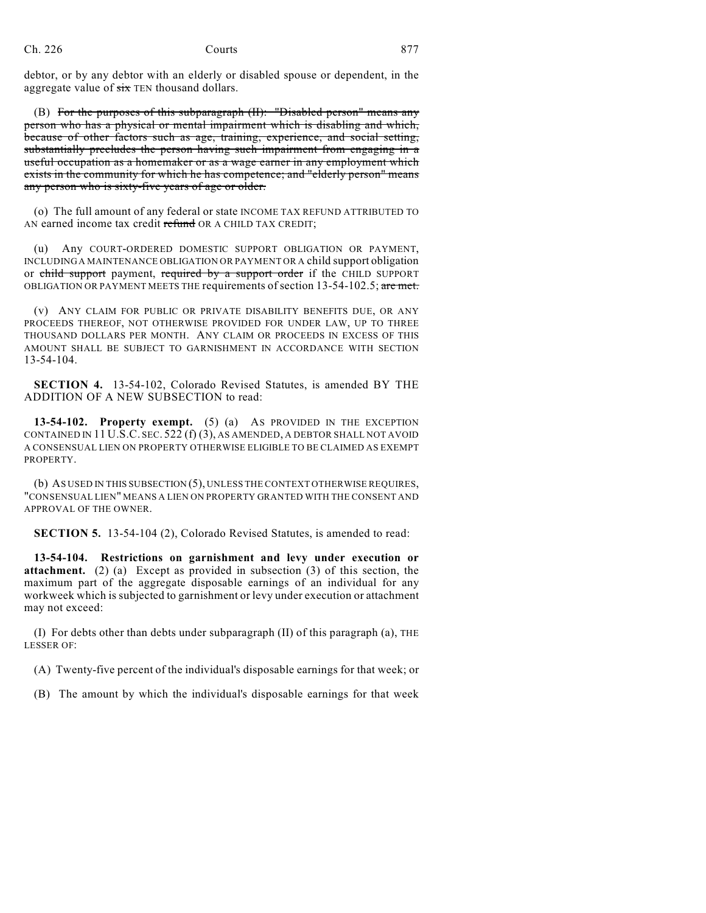debtor, or by any debtor with an elderly or disabled spouse or dependent, in the aggregate value of  $s\overline{t}$  TEN thousand dollars.

(B) For the purposes of this subparagraph (II): "Disabled person" means any person who has a physical or mental impairment which is disabling and which, because of other factors such as age, training, experience, and social setting, substantially precludes the person having such impairment from engaging in a useful occupation as a homemaker or as a wage earner in any employment which exists in the community for which he has competence; and "elderly person" means any person who is sixty-five years of age or older.

(o) The full amount of any federal or state INCOME TAX REFUND ATTRIBUTED TO AN earned income tax credit refund OR A CHILD TAX CREDIT:

(u) Any COURT-ORDERED DOMESTIC SUPPORT OBLIGATION OR PAYMENT, INCLUDING A MAINTENANCE OBLIGATION OR PAYMENT OR A child support obligation or child support payment, required by a support order if the CHILD SUPPORT OBLIGATION OR PAYMENT MEETS THE requirements of section 13-54-102.5; are met.

(v) ANY CLAIM FOR PUBLIC OR PRIVATE DISABILITY BENEFITS DUE, OR ANY PROCEEDS THEREOF, NOT OTHERWISE PROVIDED FOR UNDER LAW, UP TO THREE THOUSAND DOLLARS PER MONTH. ANY CLAIM OR PROCEEDS IN EXCESS OF THIS AMOUNT SHALL BE SUBJECT TO GARNISHMENT IN ACCORDANCE WITH SECTION 13-54-104.

**SECTION 4.** 13-54-102, Colorado Revised Statutes, is amended BY THE ADDITION OF A NEW SUBSECTION to read:

**13-54-102. Property exempt.** (5) (a) AS PROVIDED IN THE EXCEPTION CONTAINED IN 11 U.S.C. SEC. 522 (f) (3), AS AMENDED, A DEBTOR SHALL NOT AVOID A CONSENSUAL LIEN ON PROPERTY OTHERWISE ELIGIBLE TO BE CLAIMED AS EXEMPT PROPERTY.

(b) AS USED IN THIS SUBSECTION (5), UNLESS THE CONTEXT OTHERWISE REQUIRES, "CONSENSUAL LIEN" MEANS A LIEN ON PROPERTY GRANTED WITH THE CONSENT AND APPROVAL OF THE OWNER.

**SECTION 5.** 13-54-104 (2), Colorado Revised Statutes, is amended to read:

**13-54-104. Restrictions on garnishment and levy under execution or attachment.** (2) (a) Except as provided in subsection (3) of this section, the maximum part of the aggregate disposable earnings of an individual for any workweek which is subjected to garnishment or levy under execution or attachment may not exceed:

(I) For debts other than debts under subparagraph (II) of this paragraph (a), THE LESSER OF:

(A) Twenty-five percent of the individual's disposable earnings for that week; or

(B) The amount by which the individual's disposable earnings for that week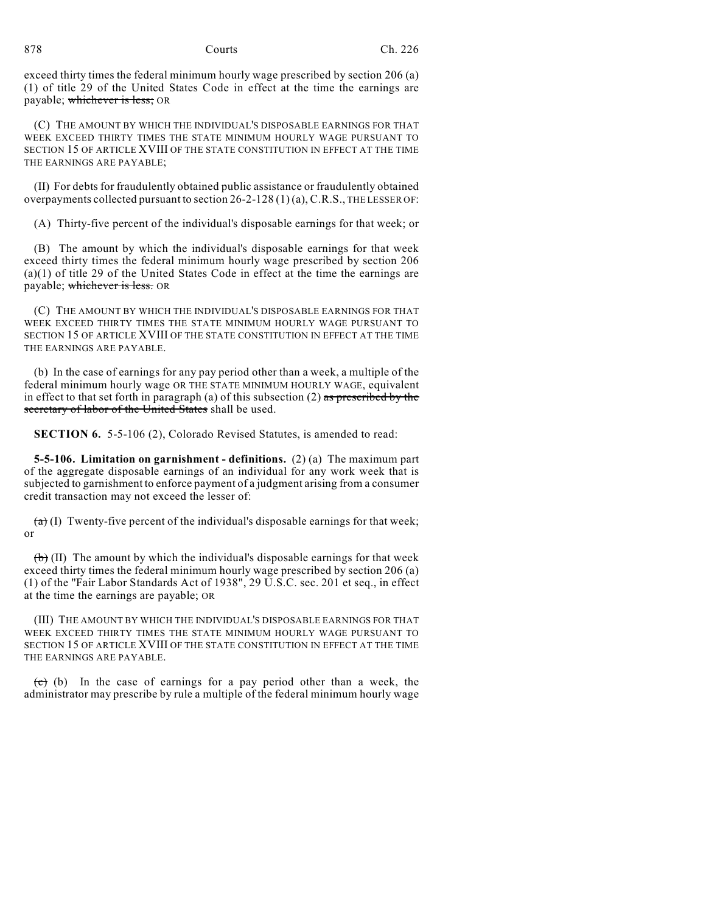exceed thirty times the federal minimum hourly wage prescribed by section 206 (a) (1) of title 29 of the United States Code in effect at the time the earnings are payable; whichever is less; OR

(C) THE AMOUNT BY WHICH THE INDIVIDUAL'S DISPOSABLE EARNINGS FOR THAT WEEK EXCEED THIRTY TIMES THE STATE MINIMUM HOURLY WAGE PURSUANT TO SECTION 15 OF ARTICLE XVIII OF THE STATE CONSTITUTION IN EFFECT AT THE TIME THE EARNINGS ARE PAYABLE;

(II) For debts for fraudulently obtained public assistance or fraudulently obtained overpayments collected pursuant to section  $26-2-128(1)(a)$ , C.R.S., THE LESSER OF:

(A) Thirty-five percent of the individual's disposable earnings for that week; or

(B) The amount by which the individual's disposable earnings for that week exceed thirty times the federal minimum hourly wage prescribed by section 206 (a)(1) of title 29 of the United States Code in effect at the time the earnings are payable; whichever is less. OR

(C) THE AMOUNT BY WHICH THE INDIVIDUAL'S DISPOSABLE EARNINGS FOR THAT WEEK EXCEED THIRTY TIMES THE STATE MINIMUM HOURLY WAGE PURSUANT TO SECTION 15 OF ARTICLE XVIII OF THE STATE CONSTITUTION IN EFFECT AT THE TIME THE EARNINGS ARE PAYABLE.

(b) In the case of earnings for any pay period other than a week, a multiple of the federal minimum hourly wage OR THE STATE MINIMUM HOURLY WAGE, equivalent in effect to that set forth in paragraph (a) of this subsection (2) as prescribed by the secretary of labor of the United States shall be used.

**SECTION 6.** 5-5-106 (2), Colorado Revised Statutes, is amended to read:

**5-5-106. Limitation on garnishment - definitions.** (2) (a) The maximum part of the aggregate disposable earnings of an individual for any work week that is subjected to garnishment to enforce payment of a judgment arising from a consumer credit transaction may not exceed the lesser of:

 $(a)$  (I) Twenty-five percent of the individual's disposable earnings for that week; or

 $(b)$  (II) The amount by which the individual's disposable earnings for that week exceed thirty times the federal minimum hourly wage prescribed by section 206 (a) (1) of the "Fair Labor Standards Act of 1938", 29 U.S.C. sec. 201 et seq., in effect at the time the earnings are payable; OR

(III) THE AMOUNT BY WHICH THE INDIVIDUAL'S DISPOSABLE EARNINGS FOR THAT WEEK EXCEED THIRTY TIMES THE STATE MINIMUM HOURLY WAGE PURSUANT TO SECTION 15 OF ARTICLE XVIII OF THE STATE CONSTITUTION IN EFFECT AT THE TIME THE EARNINGS ARE PAYABLE.

 $\overrightarrow{c}$  (b) In the case of earnings for a pay period other than a week, the administrator may prescribe by rule a multiple of the federal minimum hourly wage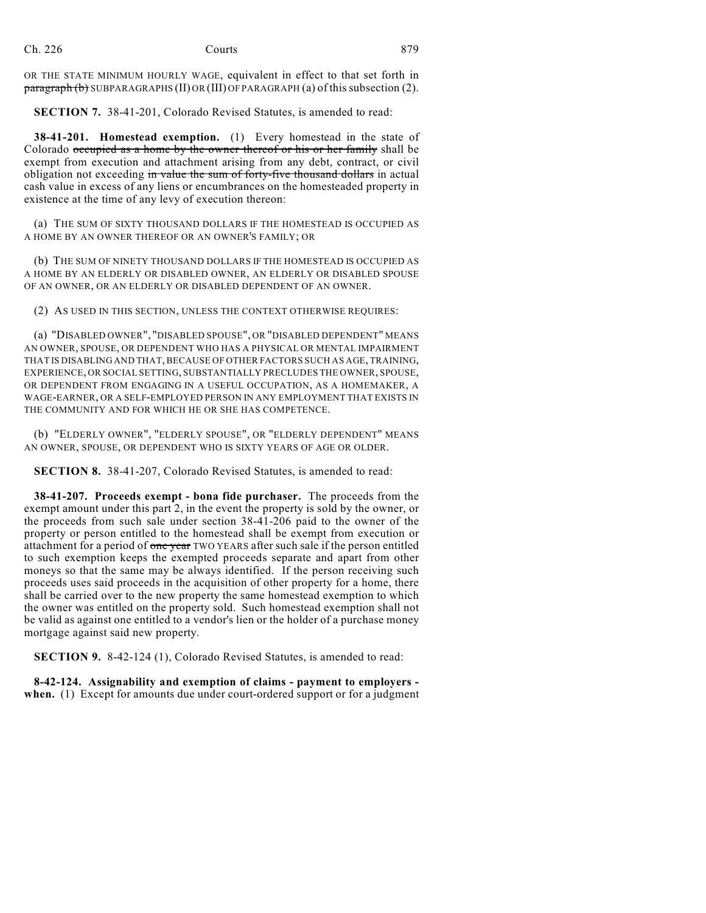OR THE STATE MINIMUM HOURLY WAGE, equivalent in effect to that set forth in paragraph (b) SUBPARAGRAPHS (II) OR (III) OF PARAGRAPH (a) of this subsection (2).

**SECTION 7.** 38-41-201, Colorado Revised Statutes, is amended to read:

**38-41-201. Homestead exemption.** (1) Every homestead in the state of Colorado occupied as a home by the owner thereof or his or her family shall be exempt from execution and attachment arising from any debt, contract, or civil obligation not exceeding in value the sum of forty-five thousand dollars in actual cash value in excess of any liens or encumbrances on the homesteaded property in existence at the time of any levy of execution thereon:

(a) THE SUM OF SIXTY THOUSAND DOLLARS IF THE HOMESTEAD IS OCCUPIED AS A HOME BY AN OWNER THEREOF OR AN OWNER'S FAMILY; OR

(b) THE SUM OF NINETY THOUSAND DOLLARS IF THE HOMESTEAD IS OCCUPIED AS A HOME BY AN ELDERLY OR DISABLED OWNER, AN ELDERLY OR DISABLED SPOUSE OF AN OWNER, OR AN ELDERLY OR DISABLED DEPENDENT OF AN OWNER.

(2) AS USED IN THIS SECTION, UNLESS THE CONTEXT OTHERWISE REQUIRES:

(a) "DISABLED OWNER", "DISABLED SPOUSE", OR "DISABLED DEPENDENT" MEANS AN OWNER, SPOUSE, OR DEPENDENT WHO HAS A PHYSICAL OR MENTAL IMPAIRMENT THAT IS DISABLING AND THAT, BECAUSE OF OTHER FACTORS SUCH AS AGE, TRAINING, EXPERIENCE, OR SOCIAL SETTING, SUBSTANTIALLY PRECLUDES THE OWNER, SPOUSE, OR DEPENDENT FROM ENGAGING IN A USEFUL OCCUPATION, AS A HOMEMAKER, A WAGE-EARNER, OR A SELF-EMPLOYED PERSON IN ANY EMPLOYMENT THAT EXISTS IN THE COMMUNITY AND FOR WHICH HE OR SHE HAS COMPETENCE.

(b) "ELDERLY OWNER", "ELDERLY SPOUSE", OR "ELDERLY DEPENDENT" MEANS AN OWNER, SPOUSE, OR DEPENDENT WHO IS SIXTY YEARS OF AGE OR OLDER.

**SECTION 8.** 38-41-207, Colorado Revised Statutes, is amended to read:

**38-41-207. Proceeds exempt - bona fide purchaser.** The proceeds from the exempt amount under this part 2, in the event the property is sold by the owner, or the proceeds from such sale under section 38-41-206 paid to the owner of the property or person entitled to the homestead shall be exempt from execution or attachment for a period of one year TWO YEARS after such sale if the person entitled to such exemption keeps the exempted proceeds separate and apart from other moneys so that the same may be always identified. If the person receiving such proceeds uses said proceeds in the acquisition of other property for a home, there shall be carried over to the new property the same homestead exemption to which the owner was entitled on the property sold. Such homestead exemption shall not be valid as against one entitled to a vendor's lien or the holder of a purchase money mortgage against said new property.

**SECTION 9.** 8-42-124 (1), Colorado Revised Statutes, is amended to read:

**8-42-124. Assignability and exemption of claims - payment to employers**  when. (1) Except for amounts due under court-ordered support or for a judgment